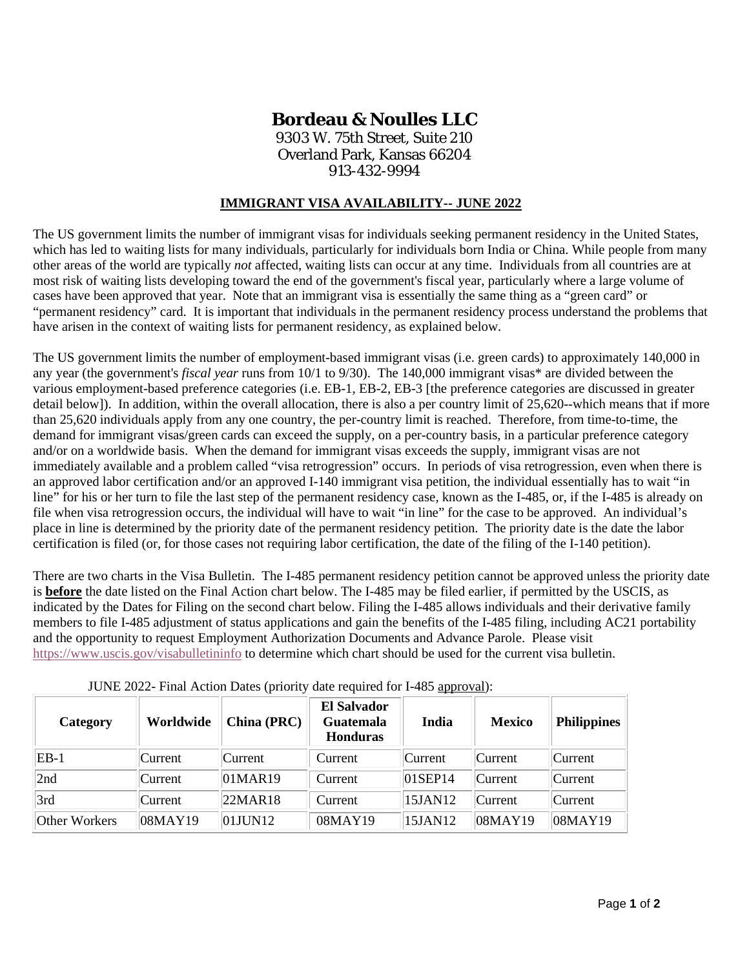## **Bordeau & Noulles LLC**

9303 W. 75th Street, Suite 210 Overland Park, Kansas 66204 913-432-9994

## **IMMIGRANT VISA AVAILABILITY-- JUNE 2022**

The US government limits the number of immigrant visas for individuals seeking permanent residency in the United States, which has led to waiting lists for many individuals, particularly for individuals born India or China. While people from many other areas of the world are typically *not* affected, waiting lists can occur at any time. Individuals from all countries are at most risk of waiting lists developing toward the end of the government's fiscal year, particularly where a large volume of cases have been approved that year. Note that an immigrant visa is essentially the same thing as a "green card" or "permanent residency" card. It is important that individuals in the permanent residency process understand the problems that have arisen in the context of waiting lists for permanent residency, as explained below.

The US government limits the number of employment-based immigrant visas (i.e. green cards) to approximately 140,000 in any year (the government's *fiscal year* runs from 10/1 to 9/30). The 140,000 immigrant visas\* are divided between the various employment-based preference categories (i.e. EB-1, EB-2, EB-3 [the preference categories are discussed in greater detail below]). In addition, within the overall allocation, there is also a per country limit of 25,620--which means that if more than 25,620 individuals apply from any one country, the per-country limit is reached. Therefore, from time-to-time, the demand for immigrant visas/green cards can exceed the supply, on a per-country basis, in a particular preference category and/or on a worldwide basis. When the demand for immigrant visas exceeds the supply, immigrant visas are not immediately available and a problem called "visa retrogression" occurs. In periods of visa retrogression, even when there is an approved labor certification and/or an approved I-140 immigrant visa petition, the individual essentially has to wait "in line" for his or her turn to file the last step of the permanent residency case, known as the I-485, or, if the I-485 is already on file when visa retrogression occurs, the individual will have to wait "in line" for the case to be approved. An individual's place in line is determined by the priority date of the permanent residency petition. The priority date is the date the labor certification is filed (or, for those cases not requiring labor certification, the date of the filing of the I-140 petition).

There are two charts in the Visa Bulletin. The I-485 permanent residency petition cannot be approved unless the priority date is **before** the date listed on the Final Action chart below. The I-485 may be filed earlier, if permitted by the USCIS, as indicated by the Dates for Filing on the second chart below. Filing the I-485 allows individuals and their derivative family members to file I-485 adjustment of status applications and gain the benefits of the I-485 filing, including AC21 portability and the opportunity to request Employment Authorization Documents and Advance Parole. Please visit <https://www.uscis.gov/visabulletininfo> to determine which chart should be used for the current visa bulletin.

| Category      | Worldwide  | China (PRC) | <b>El Salvador</b><br><b>Guatemala</b><br><b>Honduras</b> | India       | <b>Mexico</b> | <b>Philippines</b> |
|---------------|------------|-------------|-----------------------------------------------------------|-------------|---------------|--------------------|
| $EB-1$        | Current    | Current     | Current                                                   | Current     | Current       | Current            |
| 2nd           | Current    | 01MAR19     | Current                                                   | $ 01$ SEP14 | Current       | Current            |
| 3rd           | Current    | 22MAR18     | Current                                                   | 15JAN12     | Current       | Current            |
| Other Workers | $08$ MAY19 | 01JUN12     | 08MAY19                                                   | 15JAN12     | 08MAY19       | 08MAY19            |

JUNE 2022- Final Action Dates (priority date required for I-485 approval):